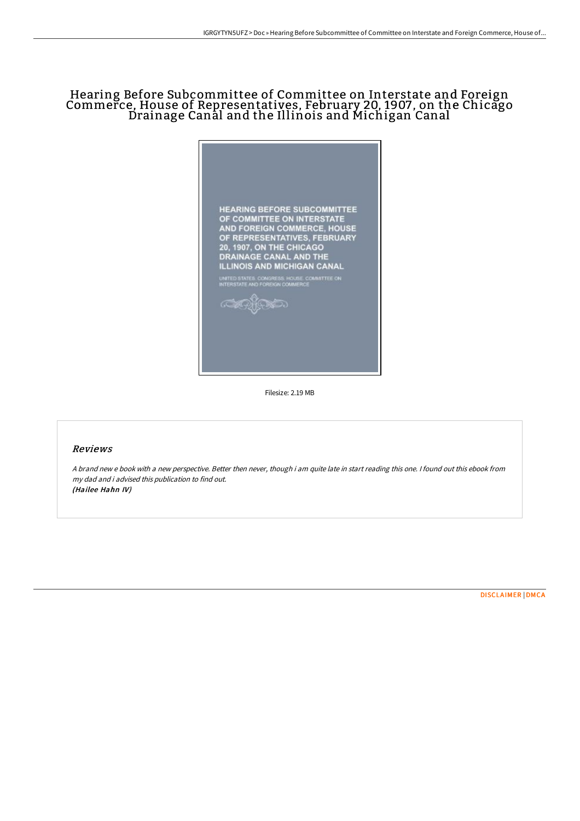## Hearing Before Subcommittee of Committee on Interstate and Foreign Commerce, House of Representatives, February 20, 1907, on the Chicago Drainage Canal and the Illinois and Michigan Canal



Filesize: 2.19 MB

#### Reviews

<sup>A</sup> brand new <sup>e</sup> book with <sup>a</sup> new perspective. Better then never, though i am quite late in start reading this one. <sup>I</sup> found out this ebook from my dad and i advised this publication to find out. (Hailee Hahn IV)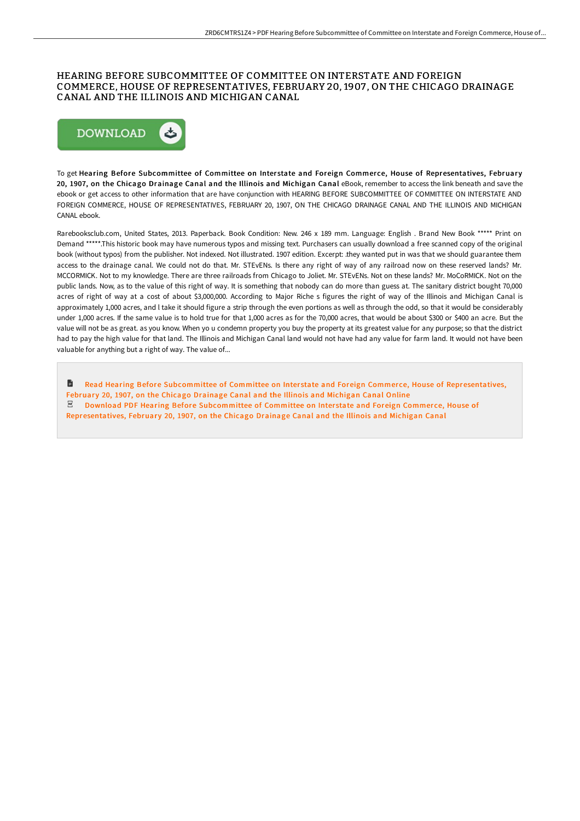### HEARING BEFORE SUBCOMMITTEE OF COMMITTEE ON INTERSTATE AND FOREIGN COMMERCE, HOUSE OF REPRESENTATIVES, FEBRUARY 20, 1907 , ON THE CHICAGO DRAINAGE CANAL AND THE ILLINOIS AND MICHIGAN CANAL



To get Hearing Before Subcommittee of Committee on Interstate and Foreign Commerce, House of Representatives, February 20, 1907, on the Chicago Drainage Canal and the Illinois and Michigan Canal eBook, remember to access the link beneath and save the ebook or get access to other information that are have conjunction with HEARING BEFORE SUBCOMMITTEE OF COMMITTEE ON INTERSTATE AND FOREIGN COMMERCE, HOUSE OF REPRESENTATIVES, FEBRUARY 20, 1907, ON THE CHICAGO DRAINAGE CANAL AND THE ILLINOIS AND MICHIGAN CANAL ebook.

Rarebooksclub.com, United States, 2013. Paperback. Book Condition: New. 246 x 189 mm. Language: English . Brand New Book \*\*\*\*\* Print on Demand \*\*\*\*\*.This historic book may have numerous typos and missing text. Purchasers can usually download a free scanned copy of the original book (without typos) from the publisher. Not indexed. Not illustrated. 1907 edition. Excerpt: .they wanted put in was that we should guarantee them access to the drainage canal. We could not do that. Mr. STEvENs. Is there any right of way of any railroad now on these reserved lands? Mr. MCCORMICK. Not to my knowledge. There are three railroads from Chicago to Joliet. Mr. STEvENs. Not on these lands? Mr. MoCoRMICK. Not on the public lands. Now, as to the value of this right of way. It is something that nobody can do more than guess at. The sanitary district bought 70,000 acres of right of way at a cost of about \$3,000,000. According to Major Riche s figures the right of way of the Illinois and Michigan Canal is approximately 1,000 acres, and l take it should figure a strip through the even portions as well as through the odd, so that it would be considerably under 1,000 acres. If the same value is to hold true for that 1,000 acres as for the 70,000 acres, that would be about \$300 or \$400 an acre. But the value will not be as great. as you know. When yo u condemn property you buy the property at its greatest value for any purpose; so that the district had to pay the high value for that land. The Illinois and Michigan Canal land would not have had any value for farm land. It would not have been valuable for anything but a right of way. The value of...

盾 Read Hearing Before Subcommittee of Committee on Interstate and Foreign Commerce, House of [Representatives,](http://digilib.live/hearing-before-subcommittee-of-committee-on-inte.html) February 20, 1907, on the Chicago Drainage Canal and the Illinois and Michigan Canal Online Download PDF Hearing Before Subcommittee of Committee on Interstate and Foreign Commerce, House of [Representatives,](http://digilib.live/hearing-before-subcommittee-of-committee-on-inte.html) February 20, 1907, on the Chicago Drainage Canal and the Illinois and Michigan Canal